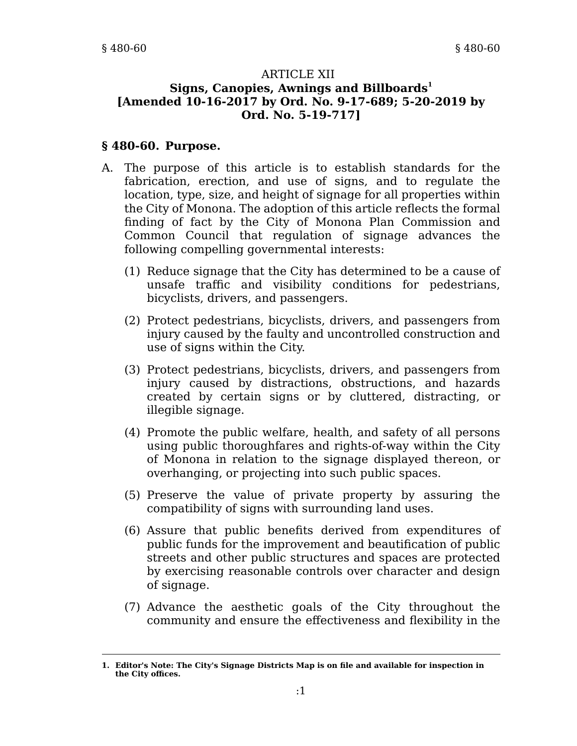#### ARTICLE XII **Signs, Canopies, Awnings and Billboards<sup>1</sup> [Amended 10-16-2017 by Ord. No. 9-17-689; 5-20-2019 by Ord. No. 5-19-717]**

#### **§ 480-60. Purpose.**

- A. The purpose of this article is to establish standards for the fabrication, erection, and use of signs, and to regulate the location, type, size, and height of signage for all properties within the City of Monona. The adoption of this article reflects the formal finding of fact by the City of Monona Plan Commission and Common Council that regulation of signage advances the following compelling governmental interests:
	- (1) Reduce signage that the City has determined to be a cause of unsafe traffic and visibility conditions for pedestrians, bicyclists, drivers, and passengers.
	- (2) Protect pedestrians, bicyclists, drivers, and passengers from injury caused by the faulty and uncontrolled construction and use of signs within the City.
	- (3) Protect pedestrians, bicyclists, drivers, and passengers from injury caused by distractions, obstructions, and hazards created by certain signs or by cluttered, distracting, or illegible signage.
	- (4) Promote the public welfare, health, and safety of all persons using public thoroughfares and rights-of-way within the City of Monona in relation to the signage displayed thereon, or overhanging, or projecting into such public spaces.
	- (5) Preserve the value of private property by assuring the compatibility of signs with surrounding land uses.
	- (6) Assure that public benefits derived from expenditures of public funds for the improvement and beautification of public streets and other public structures and spaces are protected by exercising reasonable controls over character and design of signage.
	- (7) Advance the aesthetic goals of the City throughout the community and ensure the effectiveness and flexibility in the

**<sup>1.</sup> Editor's Note: The City's Signage Districts Map is on file and available for inspection in the City offices.**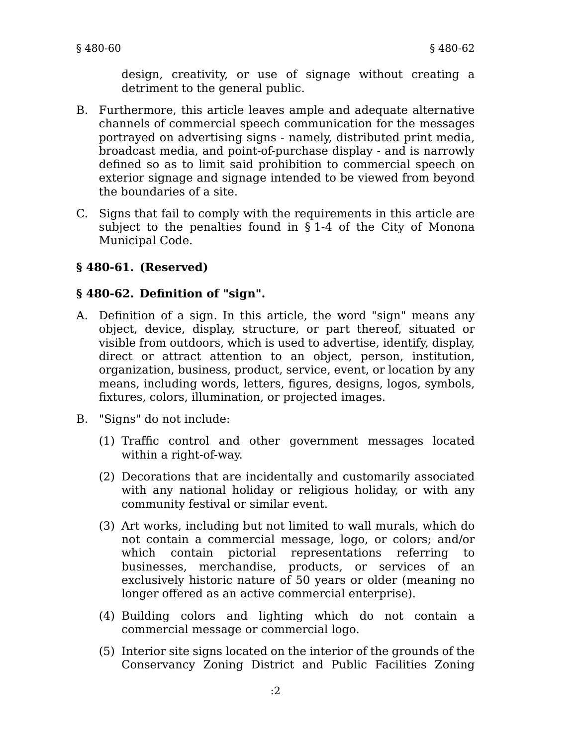design, creativity, or use of signage without creating a detriment to the general public.

- B. Furthermore, this article leaves ample and adequate alternative channels of commercial speech communication for the messages portrayed on advertising signs - namely, distributed print media, broadcast media, and point-of-purchase display - and is narrowly defined so as to limit said prohibition to commercial speech on exterior signage and signage intended to be viewed from beyond the boundaries of a site.
- C. Signs that fail to comply with the requirements in this article are subject to the penalties found in § 1-4 of the City of Monona Municipal Code.

# **§ 480-61. (Reserved)**

### **§ 480-62. Definition of "sign".**

- A. Definition of a sign. In this article, the word "sign" means any object, device, display, structure, or part thereof, situated or visible from outdoors, which is used to advertise, identify, display, direct or attract attention to an object, person, institution, organization, business, product, service, event, or location by any means, including words, letters, figures, designs, logos, symbols, fixtures, colors, illumination, or projected images.
- B. "Signs" do not include:
	- (1) Traffic control and other government messages located within a right-of-way.
	- (2) Decorations that are incidentally and customarily associated with any national holiday or religious holiday, or with any community festival or similar event.
	- (3) Art works, including but not limited to wall murals, which do not contain a commercial message, logo, or colors; and/or which contain pictorial representations referring to businesses, merchandise, products, or services of an exclusively historic nature of 50 years or older (meaning no longer offered as an active commercial enterprise).
	- (4) Building colors and lighting which do not contain a commercial message or commercial logo.
	- (5) Interior site signs located on the interior of the grounds of the Conservancy Zoning District and Public Facilities Zoning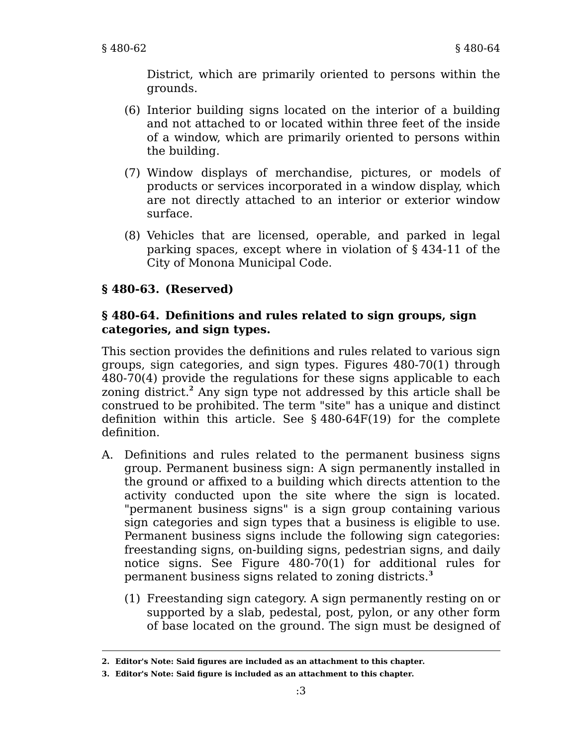District, which are primarily oriented to persons within the grounds.

- (6) Interior building signs located on the interior of a building and not attached to or located within three feet of the inside of a window, which are primarily oriented to persons within the building.
- (7) Window displays of merchandise, pictures, or models of products or services incorporated in a window display, which are not directly attached to an interior or exterior window surface.
- (8) Vehicles that are licensed, operable, and parked in legal parking spaces, except where in violation of § 434-11 of the City of Monona Municipal Code.

# **§ 480-63. (Reserved)**

### **§ 480-64. Definitions and rules related to sign groups, sign categories, and sign types.**

This section provides the definitions and rules related to various sign groups, sign categories, and sign types. Figures 480-70(1) through 480-70(4) provide the regulations for these signs applicable to each zoning district.**<sup>2</sup>** Any sign type not addressed by this article shall be construed to be prohibited. The term "site" has a unique and distinct definition within this article. See § 480-64F(19) for the complete definition.

- A. Definitions and rules related to the permanent business signs group. Permanent business sign: A sign permanently installed in the ground or affixed to a building which directs attention to the activity conducted upon the site where the sign is located. "permanent business signs" is a sign group containing various sign categories and sign types that a business is eligible to use. Permanent business signs include the following sign categories: freestanding signs, on-building signs, pedestrian signs, and daily notice signs. See Figure 480-70(1) for additional rules for permanent business signs related to zoning districts.**<sup>3</sup>**
	- (1) Freestanding sign category. A sign permanently resting on or supported by a slab, pedestal, post, pylon, or any other form of base located on the ground. The sign must be designed of

**<sup>2.</sup> Editor's Note: Said figures are included as an attachment to this chapter.**

**<sup>3.</sup> Editor's Note: Said figure is included as an attachment to this chapter.**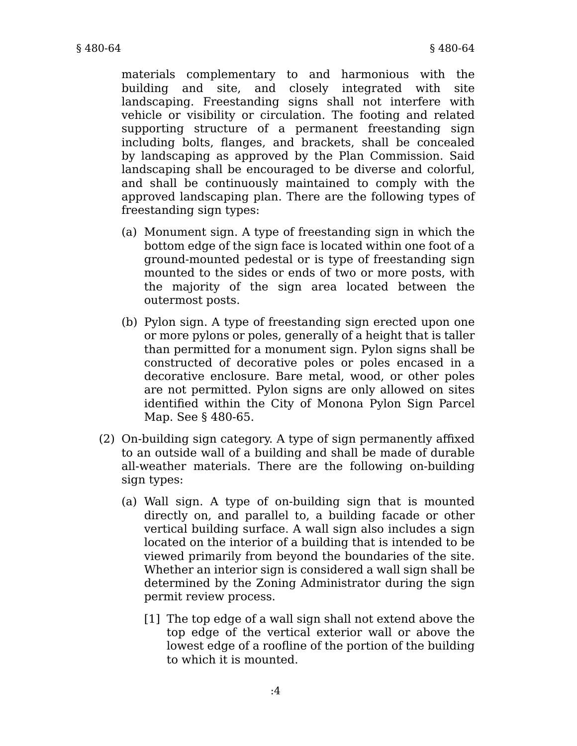materials complementary to and harmonious with the building and site, and closely integrated with site landscaping. Freestanding signs shall not interfere with vehicle or visibility or circulation. The footing and related supporting structure of a permanent freestanding sign including bolts, flanges, and brackets, shall be concealed by landscaping as approved by the Plan Commission. Said landscaping shall be encouraged to be diverse and colorful, and shall be continuously maintained to comply with the approved landscaping plan. There are the following types of freestanding sign types:

- (a) Monument sign. A type of freestanding sign in which the bottom edge of the sign face is located within one foot of a ground-mounted pedestal or is type of freestanding sign mounted to the sides or ends of two or more posts, with the majority of the sign area located between the outermost posts.
- (b) Pylon sign. A type of freestanding sign erected upon one or more pylons or poles, generally of a height that is taller than permitted for a monument sign. Pylon signs shall be constructed of decorative poles or poles encased in a decorative enclosure. Bare metal, wood, or other poles are not permitted. Pylon signs are only allowed on sites identified within the City of Monona Pylon Sign Parcel Map. See § 480-65.
- (2) On-building sign category. A type of sign permanently affixed to an outside wall of a building and shall be made of durable all-weather materials. There are the following on-building sign types:
	- (a) Wall sign. A type of on-building sign that is mounted directly on, and parallel to, a building facade or other vertical building surface. A wall sign also includes a sign located on the interior of a building that is intended to be viewed primarily from beyond the boundaries of the site. Whether an interior sign is considered a wall sign shall be determined by the Zoning Administrator during the sign permit review process.
		- [1] The top edge of a wall sign shall not extend above the top edge of the vertical exterior wall or above the lowest edge of a roofline of the portion of the building to which it is mounted.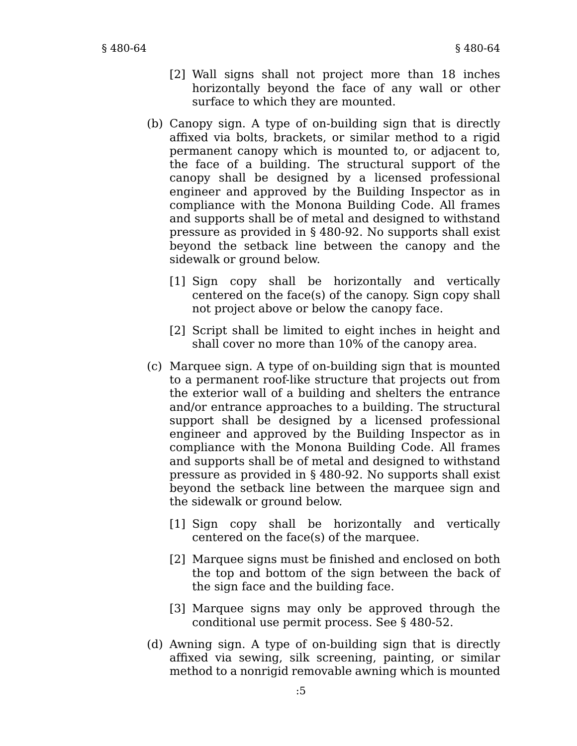- [2] Wall signs shall not project more than 18 inches horizontally beyond the face of any wall or other surface to which they are mounted.
- (b) Canopy sign. A type of on-building sign that is directly affixed via bolts, brackets, or similar method to a rigid permanent canopy which is mounted to, or adjacent to, the face of a building. The structural support of the canopy shall be designed by a licensed professional engineer and approved by the Building Inspector as in compliance with the Monona Building Code. All frames and supports shall be of metal and designed to withstand pressure as provided in § 480-92. No supports shall exist beyond the setback line between the canopy and the sidewalk or ground below.
	- [1] Sign copy shall be horizontally and vertically centered on the face(s) of the canopy. Sign copy shall not project above or below the canopy face.
	- [2] Script shall be limited to eight inches in height and shall cover no more than 10% of the canopy area.
- (c) Marquee sign. A type of on-building sign that is mounted to a permanent roof-like structure that projects out from the exterior wall of a building and shelters the entrance and/or entrance approaches to a building. The structural support shall be designed by a licensed professional engineer and approved by the Building Inspector as in compliance with the Monona Building Code. All frames and supports shall be of metal and designed to withstand pressure as provided in § 480-92. No supports shall exist beyond the setback line between the marquee sign and the sidewalk or ground below.
	- [1] Sign copy shall be horizontally and vertically centered on the face(s) of the marquee.
	- [2] Marquee signs must be finished and enclosed on both the top and bottom of the sign between the back of the sign face and the building face.
	- [3] Marquee signs may only be approved through the conditional use permit process. See § 480-52.
- (d) Awning sign. A type of on-building sign that is directly affixed via sewing, silk screening, painting, or similar method to a nonrigid removable awning which is mounted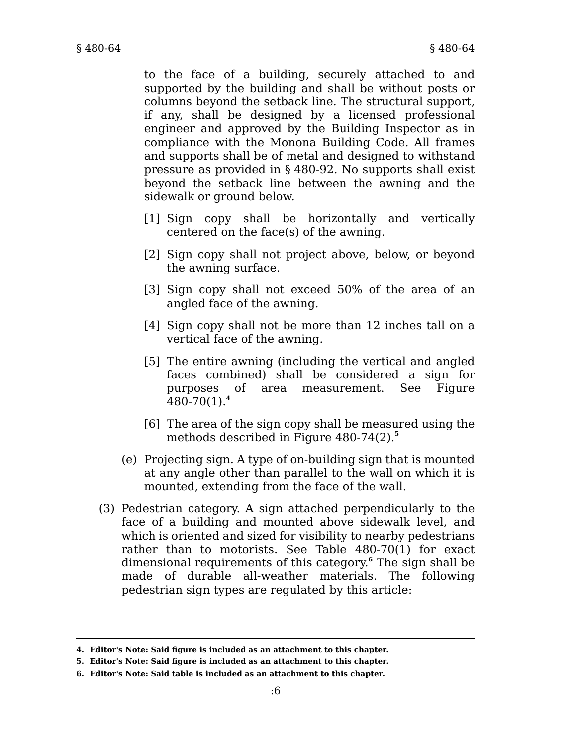to the face of a building, securely attached to and supported by the building and shall be without posts or columns beyond the setback line. The structural support, if any, shall be designed by a licensed professional engineer and approved by the Building Inspector as in compliance with the Monona Building Code. All frames and supports shall be of metal and designed to withstand pressure as provided in § 480-92. No supports shall exist beyond the setback line between the awning and the sidewalk or ground below.

- [1] Sign copy shall be horizontally and vertically centered on the face(s) of the awning.
- [2] Sign copy shall not project above, below, or beyond the awning surface.
- [3] Sign copy shall not exceed 50% of the area of an angled face of the awning.
- [4] Sign copy shall not be more than 12 inches tall on a vertical face of the awning.
- [5] The entire awning (including the vertical and angled faces combined) shall be considered a sign for purposes of area measurement. See Figure 480-70(1).**<sup>4</sup>**
- [6] The area of the sign copy shall be measured using the methods described in Figure 480-74(2).**<sup>5</sup>**
- (e) Projecting sign. A type of on-building sign that is mounted at any angle other than parallel to the wall on which it is mounted, extending from the face of the wall.
- (3) Pedestrian category. A sign attached perpendicularly to the face of a building and mounted above sidewalk level, and which is oriented and sized for visibility to nearby pedestrians rather than to motorists. See Table 480-70(1) for exact dimensional requirements of this category. **<sup>6</sup>** The sign shall be made of durable all-weather materials. The following pedestrian sign types are regulated by this article:

**<sup>4.</sup> Editor's Note: Said figure is included as an attachment to this chapter.**

**<sup>5.</sup> Editor's Note: Said figure is included as an attachment to this chapter.**

**<sup>6.</sup> Editor's Note: Said table is included as an attachment to this chapter.**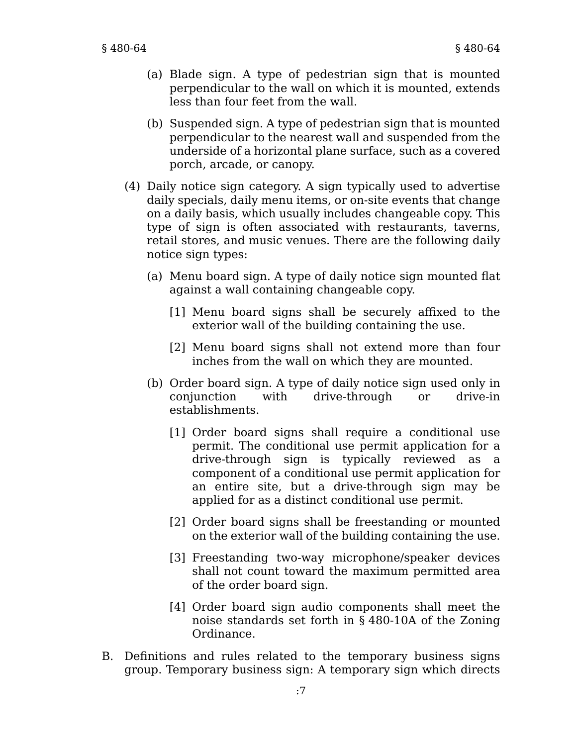- (a) Blade sign. A type of pedestrian sign that is mounted perpendicular to the wall on which it is mounted, extends less than four feet from the wall.
- (b) Suspended sign. A type of pedestrian sign that is mounted perpendicular to the nearest wall and suspended from the underside of a horizontal plane surface, such as a covered porch, arcade, or canopy.
- (4) Daily notice sign category. A sign typically used to advertise daily specials, daily menu items, or on-site events that change on a daily basis, which usually includes changeable copy. This type of sign is often associated with restaurants, taverns, retail stores, and music venues. There are the following daily notice sign types:
	- (a) Menu board sign. A type of daily notice sign mounted flat against a wall containing changeable copy.
		- [1] Menu board signs shall be securely affixed to the exterior wall of the building containing the use.
		- [2] Menu board signs shall not extend more than four inches from the wall on which they are mounted.
	- (b) Order board sign. A type of daily notice sign used only in conjunction with drive-through or drive-in establishments.
		- [1] Order board signs shall require a conditional use permit. The conditional use permit application for a drive-through sign is typically reviewed as a component of a conditional use permit application for an entire site, but a drive-through sign may be applied for as a distinct conditional use permit.
		- [2] Order board signs shall be freestanding or mounted on the exterior wall of the building containing the use.
		- [3] Freestanding two-way microphone/speaker devices shall not count toward the maximum permitted area of the order board sign.
		- [4] Order board sign audio components shall meet the noise standards set forth in § 480-10A of the Zoning Ordinance.
- B. Definitions and rules related to the temporary business signs group. Temporary business sign: A temporary sign which directs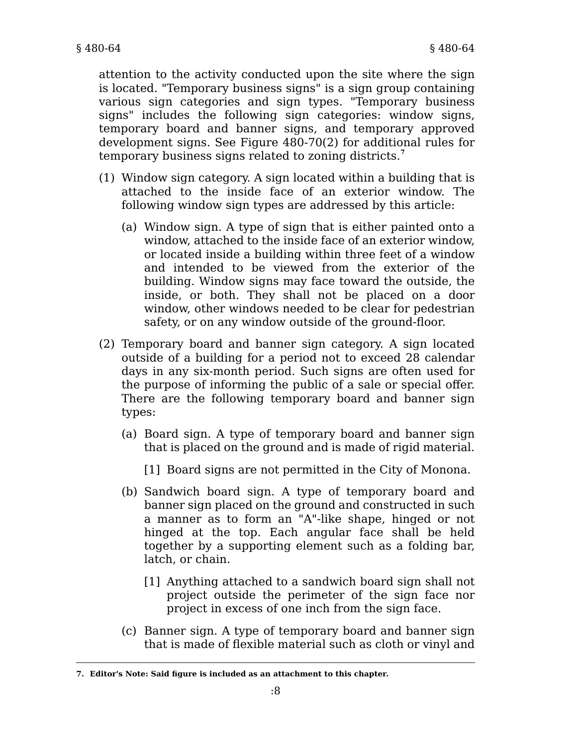attention to the activity conducted upon the site where the sign is located. "Temporary business signs" is a sign group containing various sign categories and sign types. "Temporary business signs" includes the following sign categories: window signs, temporary board and banner signs, and temporary approved development signs. See Figure 480-70(2) for additional rules for temporary business signs related to zoning districts.**<sup>7</sup>**

- (1) Window sign category. A sign located within a building that is attached to the inside face of an exterior window. The following window sign types are addressed by this article:
	- (a) Window sign. A type of sign that is either painted onto a window, attached to the inside face of an exterior window, or located inside a building within three feet of a window and intended to be viewed from the exterior of the building. Window signs may face toward the outside, the inside, or both. They shall not be placed on a door window, other windows needed to be clear for pedestrian safety, or on any window outside of the ground-floor.
- (2) Temporary board and banner sign category. A sign located outside of a building for a period not to exceed 28 calendar days in any six-month period. Such signs are often used for the purpose of informing the public of a sale or special offer. There are the following temporary board and banner sign types:
	- (a) Board sign. A type of temporary board and banner sign that is placed on the ground and is made of rigid material.

[1] Board signs are not permitted in the City of Monona.

- (b) Sandwich board sign. A type of temporary board and banner sign placed on the ground and constructed in such a manner as to form an "A"-like shape, hinged or not hinged at the top. Each angular face shall be held together by a supporting element such as a folding bar, latch, or chain.
	- [1] Anything attached to a sandwich board sign shall not project outside the perimeter of the sign face nor project in excess of one inch from the sign face.
- (c) Banner sign. A type of temporary board and banner sign that is made of flexible material such as cloth or vinyl and

**<sup>7.</sup> Editor's Note: Said figure is included as an attachment to this chapter.**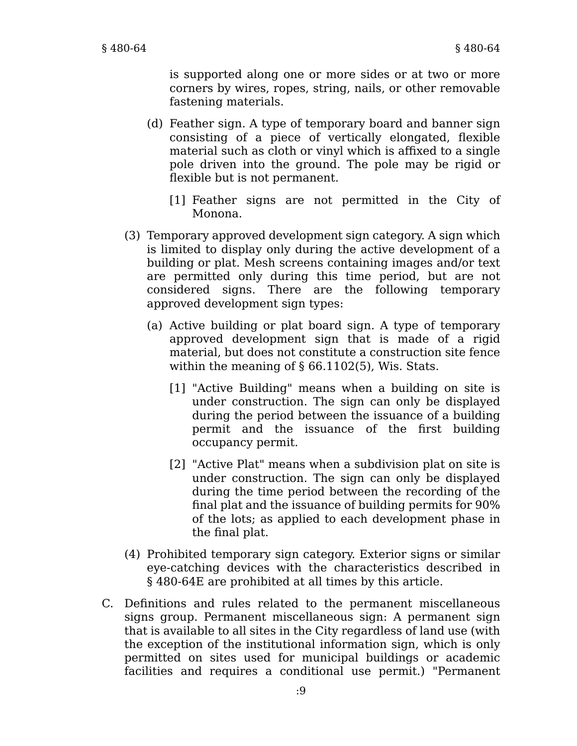is supported along one or more sides or at two or more corners by wires, ropes, string, nails, or other removable fastening materials.

- (d) Feather sign. A type of temporary board and banner sign consisting of a piece of vertically elongated, flexible material such as cloth or vinyl which is affixed to a single pole driven into the ground. The pole may be rigid or flexible but is not permanent.
	- [1] Feather signs are not permitted in the City of Monona.
- (3) Temporary approved development sign category. A sign which is limited to display only during the active development of a building or plat. Mesh screens containing images and/or text are permitted only during this time period, but are not considered signs. There are the following temporary approved development sign types:
	- (a) Active building or plat board sign. A type of temporary approved development sign that is made of a rigid material, but does not constitute a construction site fence within the meaning of § 66.1102(5), Wis. Stats.
		- [1] "Active Building" means when a building on site is under construction. The sign can only be displayed during the period between the issuance of a building permit and the issuance of the first building occupancy permit.
		- [2] "Active Plat" means when a subdivision plat on site is under construction. The sign can only be displayed during the time period between the recording of the final plat and the issuance of building permits for 90% of the lots; as applied to each development phase in the final plat.
- (4) Prohibited temporary sign category. Exterior signs or similar eye-catching devices with the characteristics described in § 480-64E are prohibited at all times by this article.
- C. Definitions and rules related to the permanent miscellaneous signs group. Permanent miscellaneous sign: A permanent sign that is available to all sites in the City regardless of land use (with the exception of the institutional information sign, which is only permitted on sites used for municipal buildings or academic facilities and requires a conditional use permit.) "Permanent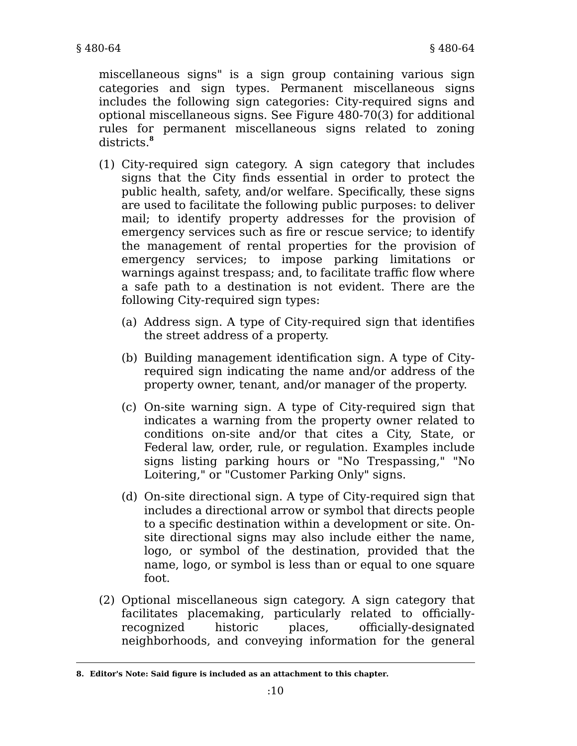miscellaneous signs" is a sign group containing various sign categories and sign types. Permanent miscellaneous signs includes the following sign categories: City-required signs and optional miscellaneous signs. See Figure 480-70(3) for additional rules for permanent miscellaneous signs related to zoning districts.**<sup>8</sup>**

- (1) City-required sign category. A sign category that includes signs that the City finds essential in order to protect the public health, safety, and/or welfare. Specifically, these signs are used to facilitate the following public purposes: to deliver mail; to identify property addresses for the provision of emergency services such as fire or rescue service; to identify the management of rental properties for the provision of emergency services; to impose parking limitations or warnings against trespass; and, to facilitate traffic flow where a safe path to a destination is not evident. There are the following City-required sign types:
	- (a) Address sign. A type of City-required sign that identifies the street address of a property.
	- (b) Building management identification sign. A type of Cityrequired sign indicating the name and/or address of the property owner, tenant, and/or manager of the property.
	- (c) On-site warning sign. A type of City-required sign that indicates a warning from the property owner related to conditions on-site and/or that cites a City, State, or Federal law, order, rule, or regulation. Examples include signs listing parking hours or "No Trespassing," "No Loitering," or "Customer Parking Only" signs.
	- (d) On-site directional sign. A type of City-required sign that includes a directional arrow or symbol that directs people to a specific destination within a development or site. Onsite directional signs may also include either the name, logo, or symbol of the destination, provided that the name, logo, or symbol is less than or equal to one square foot.
- (2) Optional miscellaneous sign category. A sign category that facilitates placemaking, particularly related to officiallyrecognized historic places, officially-designated neighborhoods, and conveying information for the general

**<sup>8.</sup> Editor's Note: Said figure is included as an attachment to this chapter.**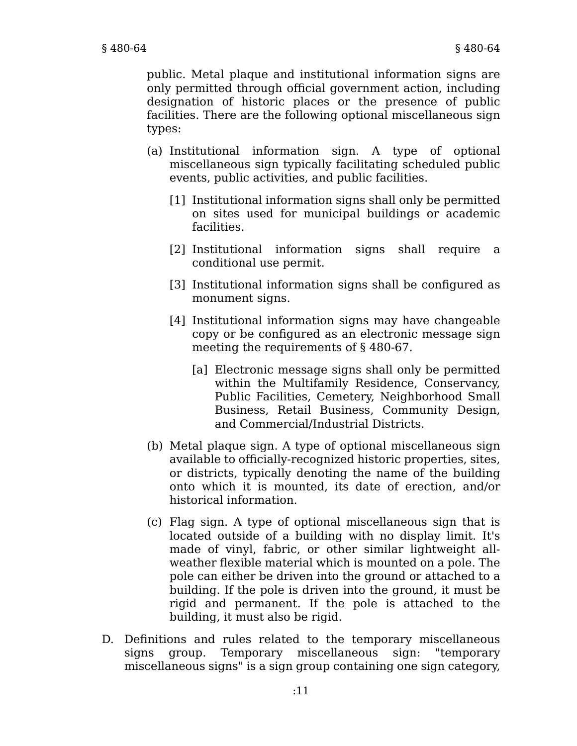public. Metal plaque and institutional information signs are only permitted through official government action, including designation of historic places or the presence of public facilities. There are the following optional miscellaneous sign types:

- (a) Institutional information sign. A type of optional miscellaneous sign typically facilitating scheduled public events, public activities, and public facilities.
	- [1] Institutional information signs shall only be permitted on sites used for municipal buildings or academic facilities.
	- [2] Institutional information signs shall require a conditional use permit.
	- [3] Institutional information signs shall be configured as monument signs.
	- [4] Institutional information signs may have changeable copy or be configured as an electronic message sign meeting the requirements of § 480-67.
		- [a] Electronic message signs shall only be permitted within the Multifamily Residence, Conservancy, Public Facilities, Cemetery, Neighborhood Small Business, Retail Business, Community Design, and Commercial/Industrial Districts.
- (b) Metal plaque sign. A type of optional miscellaneous sign available to officially-recognized historic properties, sites, or districts, typically denoting the name of the building onto which it is mounted, its date of erection, and/or historical information.
- (c) Flag sign. A type of optional miscellaneous sign that is located outside of a building with no display limit. It's made of vinyl, fabric, or other similar lightweight allweather flexible material which is mounted on a pole. The pole can either be driven into the ground or attached to a building. If the pole is driven into the ground, it must be rigid and permanent. If the pole is attached to the building, it must also be rigid.
- D. Definitions and rules related to the temporary miscellaneous signs group. Temporary miscellaneous sign: "temporary miscellaneous signs" is a sign group containing one sign category,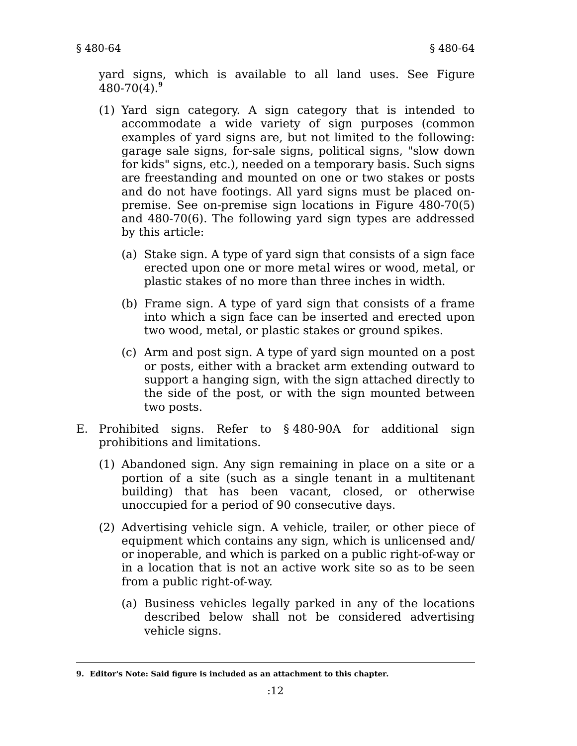yard signs, which is available to all land uses. See Figure 480-70(4).**<sup>9</sup>**

- (1) Yard sign category. A sign category that is intended to accommodate a wide variety of sign purposes (common examples of yard signs are, but not limited to the following: garage sale signs, for-sale signs, political signs, "slow down for kids" signs, etc.), needed on a temporary basis. Such signs are freestanding and mounted on one or two stakes or posts and do not have footings. All yard signs must be placed onpremise. See on-premise sign locations in Figure 480-70(5) and 480-70(6). The following yard sign types are addressed by this article:
	- (a) Stake sign. A type of yard sign that consists of a sign face erected upon one or more metal wires or wood, metal, or plastic stakes of no more than three inches in width.
	- (b) Frame sign. A type of yard sign that consists of a frame into which a sign face can be inserted and erected upon two wood, metal, or plastic stakes or ground spikes.
	- (c) Arm and post sign. A type of yard sign mounted on a post or posts, either with a bracket arm extending outward to support a hanging sign, with the sign attached directly to the side of the post, or with the sign mounted between two posts.
- E. Prohibited signs. Refer to § 480-90A for additional sign prohibitions and limitations.
	- (1) Abandoned sign. Any sign remaining in place on a site or a portion of a site (such as a single tenant in a multitenant building) that has been vacant, closed, or otherwise unoccupied for a period of 90 consecutive days.
	- (2) Advertising vehicle sign. A vehicle, trailer, or other piece of equipment which contains any sign, which is unlicensed and/ or inoperable, and which is parked on a public right-of-way or in a location that is not an active work site so as to be seen from a public right-of-way.
		- (a) Business vehicles legally parked in any of the locations described below shall not be considered advertising vehicle signs.

**<sup>9.</sup> Editor's Note: Said figure is included as an attachment to this chapter.**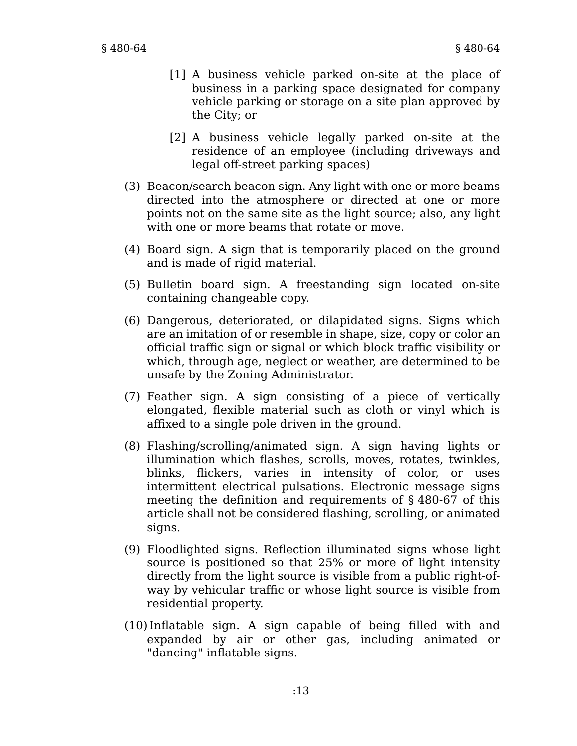- [1] A business vehicle parked on-site at the place of business in a parking space designated for company vehicle parking or storage on a site plan approved by the City; or
- [2] A business vehicle legally parked on-site at the residence of an employee (including driveways and legal off-street parking spaces)
- (3) Beacon/search beacon sign. Any light with one or more beams directed into the atmosphere or directed at one or more points not on the same site as the light source; also, any light with one or more beams that rotate or move.
- (4) Board sign. A sign that is temporarily placed on the ground and is made of rigid material.
- (5) Bulletin board sign. A freestanding sign located on-site containing changeable copy.
- (6) Dangerous, deteriorated, or dilapidated signs. Signs which are an imitation of or resemble in shape, size, copy or color an official traffic sign or signal or which block traffic visibility or which, through age, neglect or weather, are determined to be unsafe by the Zoning Administrator.
- (7) Feather sign. A sign consisting of a piece of vertically elongated, flexible material such as cloth or vinyl which is affixed to a single pole driven in the ground.
- (8) Flashing/scrolling/animated sign. A sign having lights or illumination which flashes, scrolls, moves, rotates, twinkles, blinks, flickers, varies in intensity of color, or uses intermittent electrical pulsations. Electronic message signs meeting the definition and requirements of § 480-67 of this article shall not be considered flashing, scrolling, or animated signs.
- (9) Floodlighted signs. Reflection illuminated signs whose light source is positioned so that 25% or more of light intensity directly from the light source is visible from a public right-ofway by vehicular traffic or whose light source is visible from residential property.
- (10)Inflatable sign. A sign capable of being filled with and expanded by air or other gas, including animated or "dancing" inflatable signs.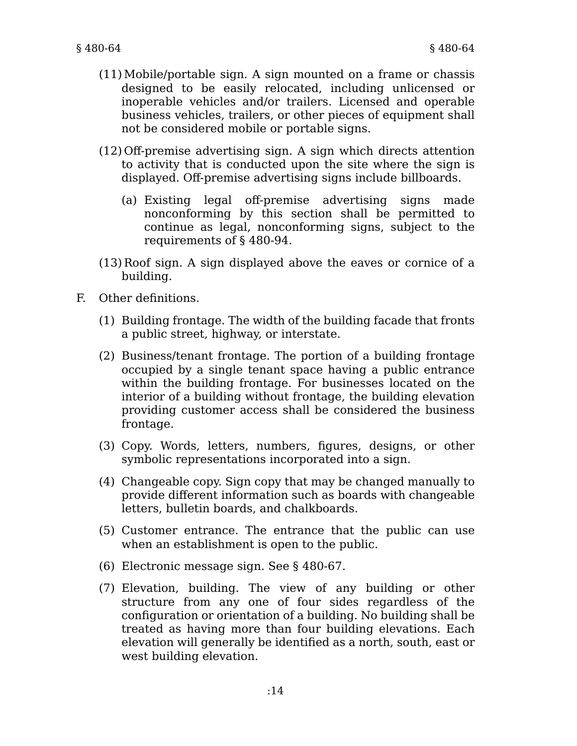- (11)Mobile/portable sign. A sign mounted on a frame or chassis designed to be easily relocated, including unlicensed or inoperable vehicles and/or trailers. Licensed and operable business vehicles, trailers, or other pieces of equipment shall not be considered mobile or portable signs.
- (12) Off-premise advertising sign. A sign which directs attention to activity that is conducted upon the site where the sign is displayed. Off-premise advertising signs include billboards.
	- (a) Existing legal off-premise advertising signs made nonconforming by this section shall be permitted to continue as legal, nonconforming signs, subject to the requirements of § 480-94.
- (13) Roof sign. A sign displayed above the eaves or cornice of a building.
- F. Other definitions.
	- (1) Building frontage. The width of the building facade that fronts a public street, highway, or interstate.
	- (2) Business/tenant frontage. The portion of a building frontage occupied by a single tenant space having a public entrance within the building frontage. For businesses located on the interior of a building without frontage, the building elevation providing customer access shall be considered the business frontage.
	- (3) Copy. Words, letters, numbers, figures, designs, or other symbolic representations incorporated into a sign.
	- (4) Changeable copy. Sign copy that may be changed manually to provide different information such as boards with changeable letters, bulletin boards, and chalkboards.
	- (5) Customer entrance. The entrance that the public can use when an establishment is open to the public.
	- (6) Electronic message sign. See § 480-67.
	- (7) Elevation, building. The view of any building or other structure from any one of four sides regardless of the configuration or orientation of a building. No building shall be treated as having more than four building elevations. Each elevation will generally be identified as a north, south, east or west building elevation.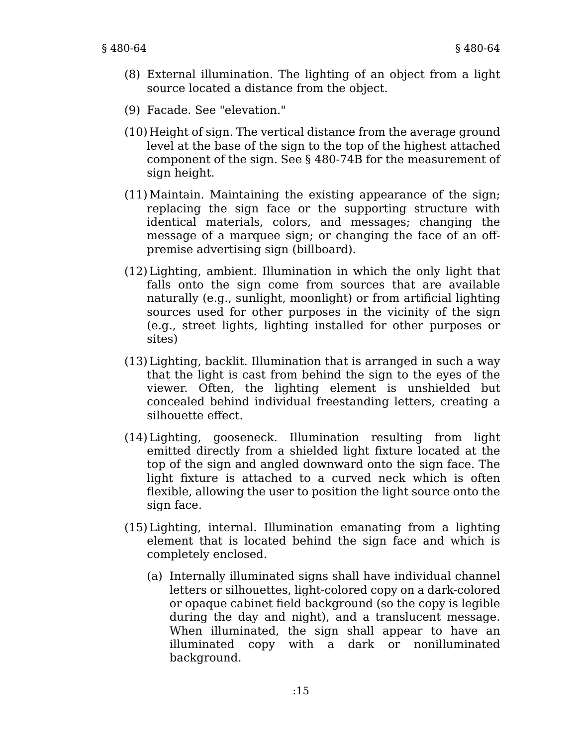- (8) External illumination. The lighting of an object from a light source located a distance from the object.
- (9) Facade. See "elevation."
- (10) Height of sign. The vertical distance from the average ground level at the base of the sign to the top of the highest attached component of the sign. See § 480-74B for the measurement of sign height.
- (11)Maintain. Maintaining the existing appearance of the sign; replacing the sign face or the supporting structure with identical materials, colors, and messages; changing the message of a marquee sign; or changing the face of an offpremise advertising sign (billboard).
- (12) Lighting, ambient. Illumination in which the only light that falls onto the sign come from sources that are available naturally (e.g., sunlight, moonlight) or from artificial lighting sources used for other purposes in the vicinity of the sign (e.g., street lights, lighting installed for other purposes or sites)
- (13) Lighting, backlit. Illumination that is arranged in such a way that the light is cast from behind the sign to the eyes of the viewer. Often, the lighting element is unshielded but concealed behind individual freestanding letters, creating a silhouette effect.
- (14) Lighting, gooseneck. Illumination resulting from light emitted directly from a shielded light fixture located at the top of the sign and angled downward onto the sign face. The light fixture is attached to a curved neck which is often flexible, allowing the user to position the light source onto the sign face.
- (15) Lighting, internal. Illumination emanating from a lighting element that is located behind the sign face and which is completely enclosed.
	- (a) Internally illuminated signs shall have individual channel letters or silhouettes, light-colored copy on a dark-colored or opaque cabinet field background (so the copy is legible during the day and night), and a translucent message. When illuminated, the sign shall appear to have an illuminated copy with a dark or nonilluminated background.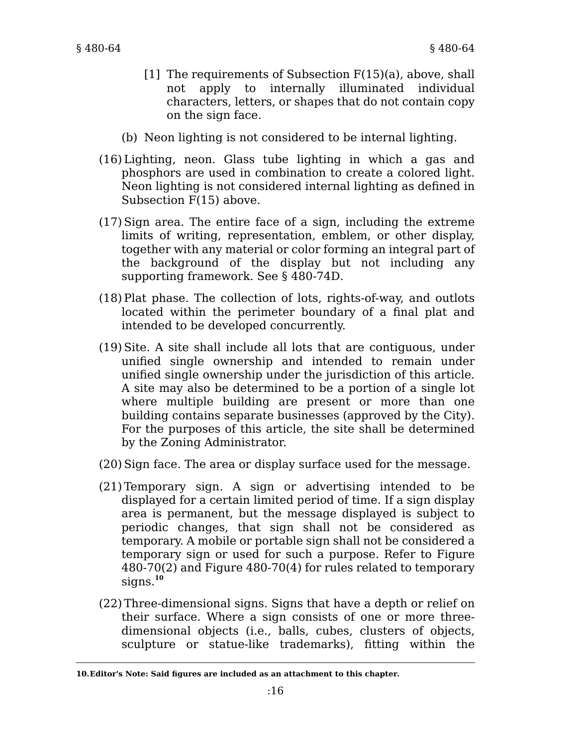- [1] The requirements of Subsection F(15)(a), above, shall not apply to internally illuminated individual characters, letters, or shapes that do not contain copy on the sign face.
- (b) Neon lighting is not considered to be internal lighting.
- (16) Lighting, neon. Glass tube lighting in which a gas and phosphors are used in combination to create a colored light. Neon lighting is not considered internal lighting as defined in Subsection F(15) above.
- (17)Sign area. The entire face of a sign, including the extreme limits of writing, representation, emblem, or other display, together with any material or color forming an integral part of the background of the display but not including any supporting framework. See § 480-74D.
- (18)Plat phase. The collection of lots, rights-of-way, and outlots located within the perimeter boundary of a final plat and intended to be developed concurrently.
- (19)Site. A site shall include all lots that are contiguous, under unified single ownership and intended to remain under unified single ownership under the jurisdiction of this article. A site may also be determined to be a portion of a single lot where multiple building are present or more than one building contains separate businesses (approved by the City). For the purposes of this article, the site shall be determined by the Zoning Administrator.
- (20)Sign face. The area or display surface used for the message.
- (21) Temporary sign. A sign or advertising intended to be displayed for a certain limited period of time. If a sign display area is permanent, but the message displayed is subject to periodic changes, that sign shall not be considered as temporary. A mobile or portable sign shall not be considered a temporary sign or used for such a purpose. Refer to Figure 480-70(2) and Figure 480-70(4) for rules related to temporary signs.**<sup>10</sup>**
- (22) Three-dimensional signs. Signs that have a depth or relief on their surface. Where a sign consists of one or more threedimensional objects (i.e., balls, cubes, clusters of objects, sculpture or statue-like trademarks), fitting within the

**<sup>10.</sup>Editor's Note: Said figures are included as an attachment to this chapter.**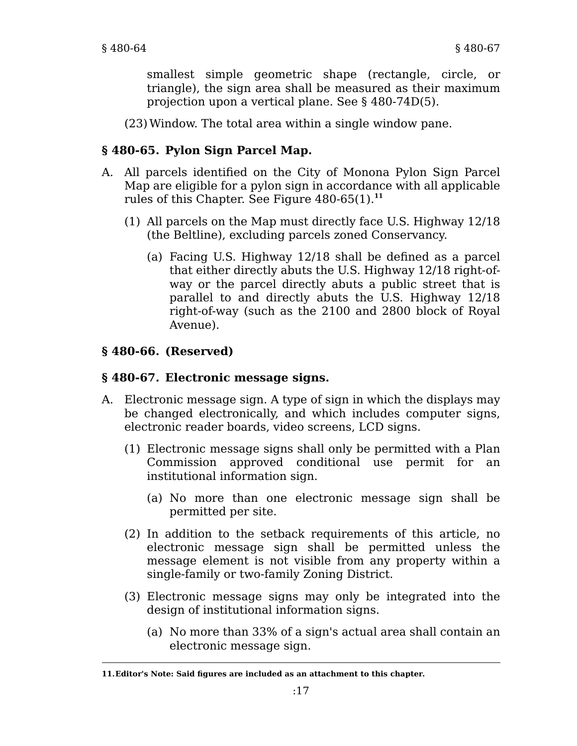smallest simple geometric shape (rectangle, circle, or triangle), the sign area shall be measured as their maximum projection upon a vertical plane. See § 480-74D(5).

(23)Window. The total area within a single window pane.

# **§ 480-65. Pylon Sign Parcel Map.**

- A. All parcels identified on the City of Monona Pylon Sign Parcel Map are eligible for a pylon sign in accordance with all applicable rules of this Chapter. See Figure 480-65(1).**<sup>11</sup>**
	- (1) All parcels on the Map must directly face U.S. Highway 12/18 (the Beltline), excluding parcels zoned Conservancy.
		- (a) Facing U.S. Highway 12/18 shall be defined as a parcel that either directly abuts the U.S. Highway 12/18 right-ofway or the parcel directly abuts a public street that is parallel to and directly abuts the U.S. Highway 12/18 right-of-way (such as the 2100 and 2800 block of Royal Avenue).

# **§ 480-66. (Reserved)**

### **§ 480-67. Electronic message signs.**

- A. Electronic message sign. A type of sign in which the displays may be changed electronically, and which includes computer signs, electronic reader boards, video screens, LCD signs.
	- (1) Electronic message signs shall only be permitted with a Plan Commission approved conditional use permit for an institutional information sign.
		- (a) No more than one electronic message sign shall be permitted per site.
	- (2) In addition to the setback requirements of this article, no electronic message sign shall be permitted unless the message element is not visible from any property within a single-family or two-family Zoning District.
	- (3) Electronic message signs may only be integrated into the design of institutional information signs.
		- (a) No more than 33% of a sign's actual area shall contain an electronic message sign.

**<sup>11.</sup>Editor's Note: Said figures are included as an attachment to this chapter.**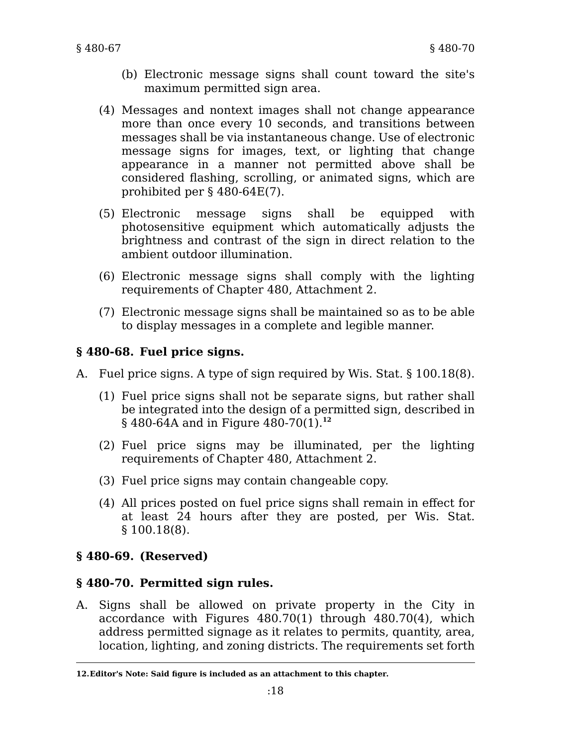- (b) Electronic message signs shall count toward the site's maximum permitted sign area.
- (4) Messages and nontext images shall not change appearance more than once every 10 seconds, and transitions between messages shall be via instantaneous change. Use of electronic message signs for images, text, or lighting that change appearance in a manner not permitted above shall be considered flashing, scrolling, or animated signs, which are prohibited per § 480-64E(7).
- (5) Electronic message signs shall be equipped with photosensitive equipment which automatically adjusts the brightness and contrast of the sign in direct relation to the ambient outdoor illumination.
- (6) Electronic message signs shall comply with the lighting requirements of Chapter 480, Attachment 2.
- (7) Electronic message signs shall be maintained so as to be able to display messages in a complete and legible manner.

# **§ 480-68. Fuel price signs.**

- A. Fuel price signs. A type of sign required by Wis. Stat. § 100.18(8).
	- (1) Fuel price signs shall not be separate signs, but rather shall be integrated into the design of a permitted sign, described in § 480-64A and in Figure 480-70(1).**<sup>12</sup>**
	- (2) Fuel price signs may be illuminated, per the lighting requirements of Chapter 480, Attachment 2.
	- (3) Fuel price signs may contain changeable copy.
	- (4) All prices posted on fuel price signs shall remain in effect for at least 24 hours after they are posted, per Wis. Stat. § 100.18(8).

### **§ 480-69. (Reserved)**

### **§ 480-70. Permitted sign rules.**

A. Signs shall be allowed on private property in the City in accordance with Figures 480.70(1) through 480.70(4), which address permitted signage as it relates to permits, quantity, area, location, lighting, and zoning districts. The requirements set forth

**<sup>12.</sup>Editor's Note: Said figure is included as an attachment to this chapter.**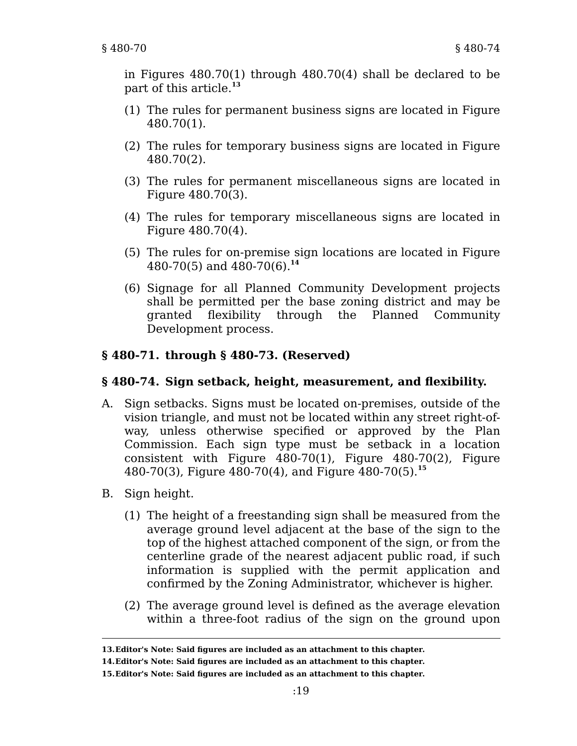in Figures 480.70(1) through 480.70(4) shall be declared to be part of this article.**<sup>13</sup>**

- (1) The rules for permanent business signs are located in Figure 480.70(1).
- (2) The rules for temporary business signs are located in Figure 480.70(2).
- (3) The rules for permanent miscellaneous signs are located in Figure 480.70(3).
- (4) The rules for temporary miscellaneous signs are located in Figure 480.70(4).
- (5) The rules for on-premise sign locations are located in Figure 480-70(5) and 480-70(6).**<sup>14</sup>**
- (6) Signage for all Planned Community Development projects shall be permitted per the base zoning district and may be granted flexibility through the Planned Community Development process.

### **§ 480-71. through § 480-73. (Reserved)**

#### **§ 480-74. Sign setback, height, measurement, and flexibility.**

- A. Sign setbacks. Signs must be located on-premises, outside of the vision triangle, and must not be located within any street right-ofway, unless otherwise specified or approved by the Plan Commission. Each sign type must be setback in a location consistent with Figure 480-70(1), Figure 480-70(2), Figure 480-70(3), Figure 480-70(4), and Figure 480-70(5).**<sup>15</sup>**
- B. Sign height.
	- (1) The height of a freestanding sign shall be measured from the average ground level adjacent at the base of the sign to the top of the highest attached component of the sign, or from the centerline grade of the nearest adjacent public road, if such information is supplied with the permit application and confirmed by the Zoning Administrator, whichever is higher.
	- (2) The average ground level is defined as the average elevation within a three-foot radius of the sign on the ground upon

**<sup>13.</sup>Editor's Note: Said figures are included as an attachment to this chapter.**

**<sup>14.</sup>Editor's Note: Said figures are included as an attachment to this chapter.**

**<sup>15.</sup>Editor's Note: Said figures are included as an attachment to this chapter.**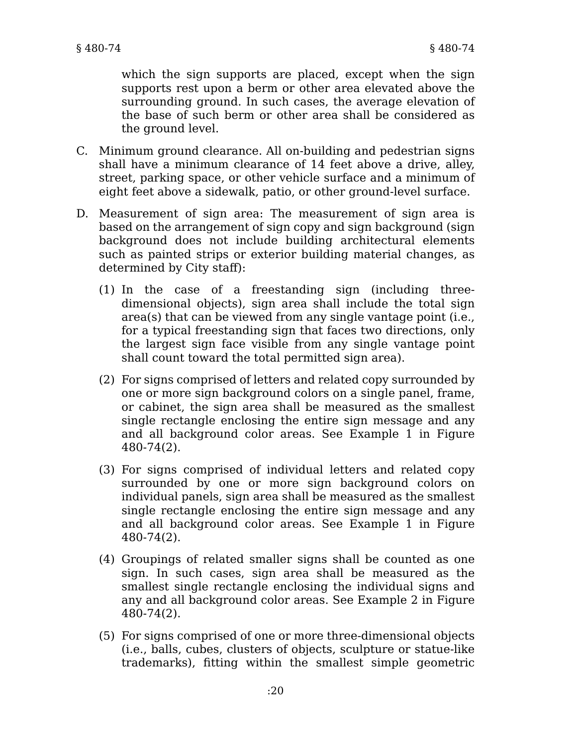which the sign supports are placed, except when the sign supports rest upon a berm or other area elevated above the surrounding ground. In such cases, the average elevation of the base of such berm or other area shall be considered as the ground level.

- C. Minimum ground clearance. All on-building and pedestrian signs shall have a minimum clearance of 14 feet above a drive, alley, street, parking space, or other vehicle surface and a minimum of eight feet above a sidewalk, patio, or other ground-level surface.
- D. Measurement of sign area: The measurement of sign area is based on the arrangement of sign copy and sign background (sign background does not include building architectural elements such as painted strips or exterior building material changes, as determined by City staff):
	- (1) In the case of a freestanding sign (including threedimensional objects), sign area shall include the total sign area(s) that can be viewed from any single vantage point (i.e., for a typical freestanding sign that faces two directions, only the largest sign face visible from any single vantage point shall count toward the total permitted sign area).
	- (2) For signs comprised of letters and related copy surrounded by one or more sign background colors on a single panel, frame, or cabinet, the sign area shall be measured as the smallest single rectangle enclosing the entire sign message and any and all background color areas. See Example 1 in Figure 480-74(2).
	- (3) For signs comprised of individual letters and related copy surrounded by one or more sign background colors on individual panels, sign area shall be measured as the smallest single rectangle enclosing the entire sign message and any and all background color areas. See Example 1 in Figure 480-74(2).
	- (4) Groupings of related smaller signs shall be counted as one sign. In such cases, sign area shall be measured as the smallest single rectangle enclosing the individual signs and any and all background color areas. See Example 2 in Figure 480-74(2).
	- (5) For signs comprised of one or more three-dimensional objects (i.e., balls, cubes, clusters of objects, sculpture or statue-like trademarks), fitting within the smallest simple geometric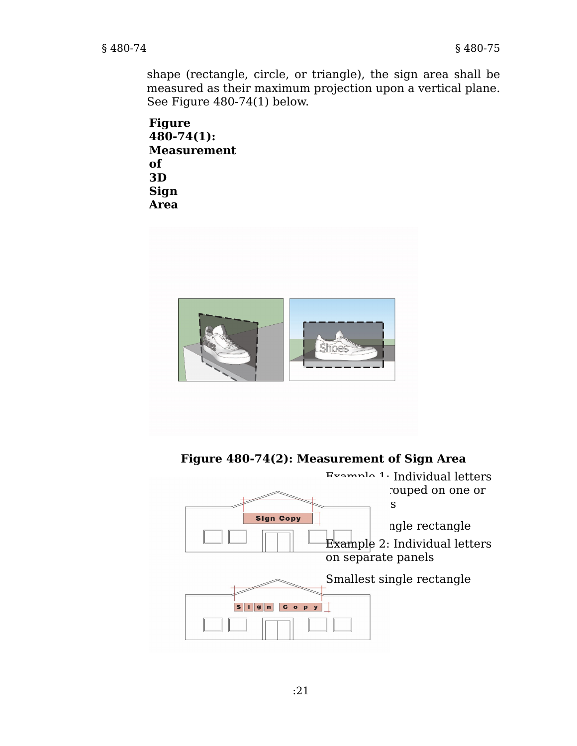shape (rectangle, circle, or triangle), the sign area shall be measured as their maximum projection upon a vertical plane. See Figure 480-74(1) below.

```
Figure
480-74(1):
Measurement
of
3D
Sign
Area
```


**Figure 480-74(2): Measurement of Sign Area**

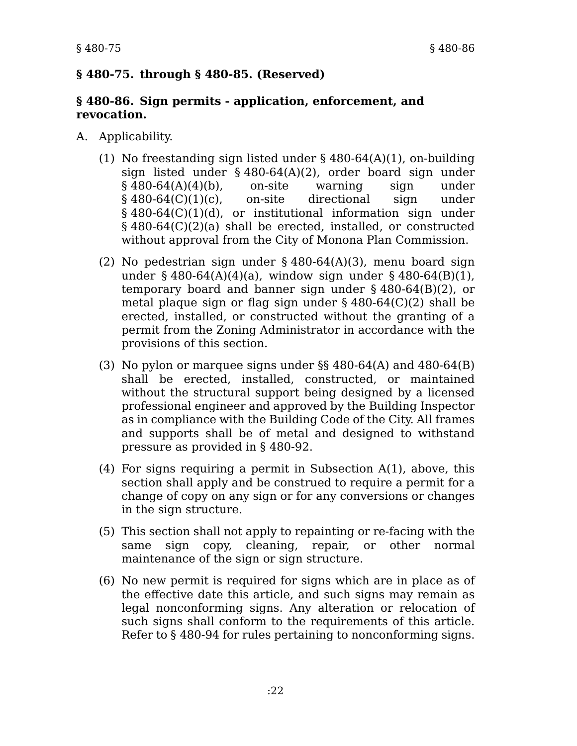### **§ 480-75. through § 480-85. (Reserved)**

#### **§ 480-86. Sign permits - application, enforcement, and revocation.**

- A. Applicability.
	- (1) No freestanding sign listed under § 480-64(A)(1), on-building sign listed under § 480-64(A)(2), order board sign under § 480-64(A)(4)(b), on-site warning sign under § 480-64(C)(1)(c), on-site directional sign under § 480-64(C)(1)(d), or institutional information sign under § 480-64(C)(2)(a) shall be erected, installed, or constructed without approval from the City of Monona Plan Commission.
	- (2) No pedestrian sign under § 480-64(A)(3), menu board sign under § 480-64(A)(4)(a), window sign under § 480-64(B)(1), temporary board and banner sign under § 480-64(B)(2), or metal plaque sign or flag sign under § 480-64(C)(2) shall be erected, installed, or constructed without the granting of a permit from the Zoning Administrator in accordance with the provisions of this section.
	- (3) No pylon or marquee signs under §§ 480-64(A) and 480-64(B) shall be erected, installed, constructed, or maintained without the structural support being designed by a licensed professional engineer and approved by the Building Inspector as in compliance with the Building Code of the City. All frames and supports shall be of metal and designed to withstand pressure as provided in § 480-92.
	- (4) For signs requiring a permit in Subsection A(1), above, this section shall apply and be construed to require a permit for a change of copy on any sign or for any conversions or changes in the sign structure.
	- (5) This section shall not apply to repainting or re-facing with the same sign copy, cleaning, repair, or other normal maintenance of the sign or sign structure.
	- (6) No new permit is required for signs which are in place as of the effective date this article, and such signs may remain as legal nonconforming signs. Any alteration or relocation of such signs shall conform to the requirements of this article. Refer to § 480-94 for rules pertaining to nonconforming signs.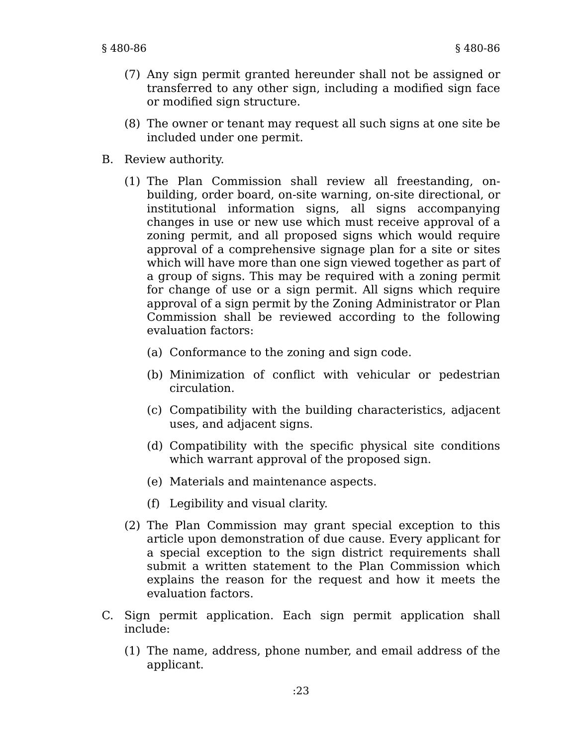- (7) Any sign permit granted hereunder shall not be assigned or transferred to any other sign, including a modified sign face or modified sign structure.
- (8) The owner or tenant may request all such signs at one site be included under one permit.
- B. Review authority.
	- (1) The Plan Commission shall review all freestanding, onbuilding, order board, on-site warning, on-site directional, or institutional information signs, all signs accompanying changes in use or new use which must receive approval of a zoning permit, and all proposed signs which would require approval of a comprehensive signage plan for a site or sites which will have more than one sign viewed together as part of a group of signs. This may be required with a zoning permit for change of use or a sign permit. All signs which require approval of a sign permit by the Zoning Administrator or Plan Commission shall be reviewed according to the following evaluation factors:
		- (a) Conformance to the zoning and sign code.
		- (b) Minimization of conflict with vehicular or pedestrian circulation.
		- (c) Compatibility with the building characteristics, adjacent uses, and adjacent signs.
		- (d) Compatibility with the specific physical site conditions which warrant approval of the proposed sign.
		- (e) Materials and maintenance aspects.
		- (f) Legibility and visual clarity.
	- (2) The Plan Commission may grant special exception to this article upon demonstration of due cause. Every applicant for a special exception to the sign district requirements shall submit a written statement to the Plan Commission which explains the reason for the request and how it meets the evaluation factors.
- C. Sign permit application. Each sign permit application shall include:
	- (1) The name, address, phone number, and email address of the applicant.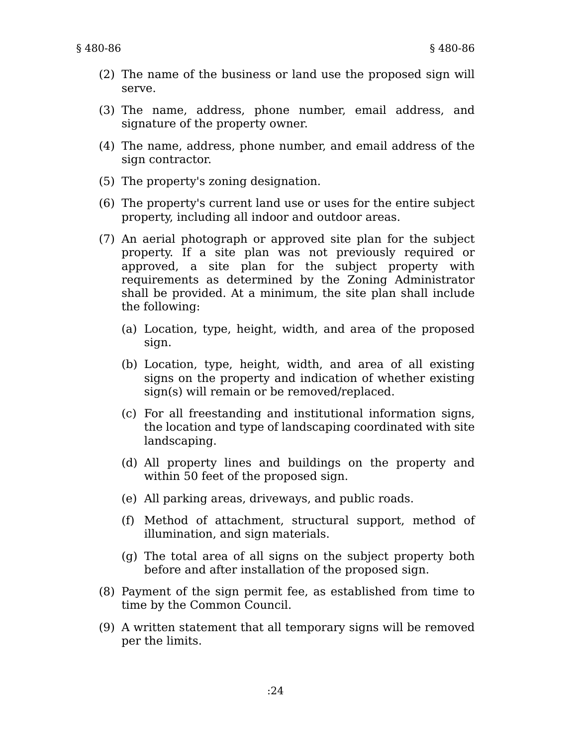- (2) The name of the business or land use the proposed sign will serve.
- (3) The name, address, phone number, email address, and signature of the property owner.
- (4) The name, address, phone number, and email address of the sign contractor.
- (5) The property's zoning designation.
- (6) The property's current land use or uses for the entire subject property, including all indoor and outdoor areas.
- (7) An aerial photograph or approved site plan for the subject property. If a site plan was not previously required or approved, a site plan for the subject property with requirements as determined by the Zoning Administrator shall be provided. At a minimum, the site plan shall include the following:
	- (a) Location, type, height, width, and area of the proposed sign.
	- (b) Location, type, height, width, and area of all existing signs on the property and indication of whether existing sign(s) will remain or be removed/replaced.
	- (c) For all freestanding and institutional information signs, the location and type of landscaping coordinated with site landscaping.
	- (d) All property lines and buildings on the property and within 50 feet of the proposed sign.
	- (e) All parking areas, driveways, and public roads.
	- (f) Method of attachment, structural support, method of illumination, and sign materials.
	- (g) The total area of all signs on the subject property both before and after installation of the proposed sign.
- (8) Payment of the sign permit fee, as established from time to time by the Common Council.
- (9) A written statement that all temporary signs will be removed per the limits.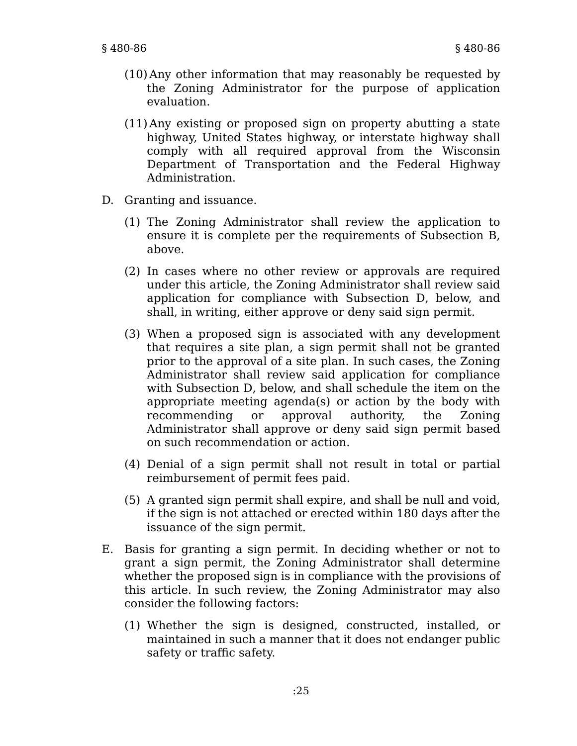- (10) Any other information that may reasonably be requested by the Zoning Administrator for the purpose of application evaluation.
- (11) Any existing or proposed sign on property abutting a state highway, United States highway, or interstate highway shall comply with all required approval from the Wisconsin Department of Transportation and the Federal Highway Administration.
- D. Granting and issuance.
	- (1) The Zoning Administrator shall review the application to ensure it is complete per the requirements of Subsection B, above.
	- (2) In cases where no other review or approvals are required under this article, the Zoning Administrator shall review said application for compliance with Subsection D, below, and shall, in writing, either approve or deny said sign permit.
	- (3) When a proposed sign is associated with any development that requires a site plan, a sign permit shall not be granted prior to the approval of a site plan. In such cases, the Zoning Administrator shall review said application for compliance with Subsection D, below, and shall schedule the item on the appropriate meeting agenda(s) or action by the body with recommending or approval authority, the Zoning Administrator shall approve or deny said sign permit based on such recommendation or action.
	- (4) Denial of a sign permit shall not result in total or partial reimbursement of permit fees paid.
	- (5) A granted sign permit shall expire, and shall be null and void, if the sign is not attached or erected within 180 days after the issuance of the sign permit.
- E. Basis for granting a sign permit. In deciding whether or not to grant a sign permit, the Zoning Administrator shall determine whether the proposed sign is in compliance with the provisions of this article. In such review, the Zoning Administrator may also consider the following factors:
	- (1) Whether the sign is designed, constructed, installed, or maintained in such a manner that it does not endanger public safety or traffic safety.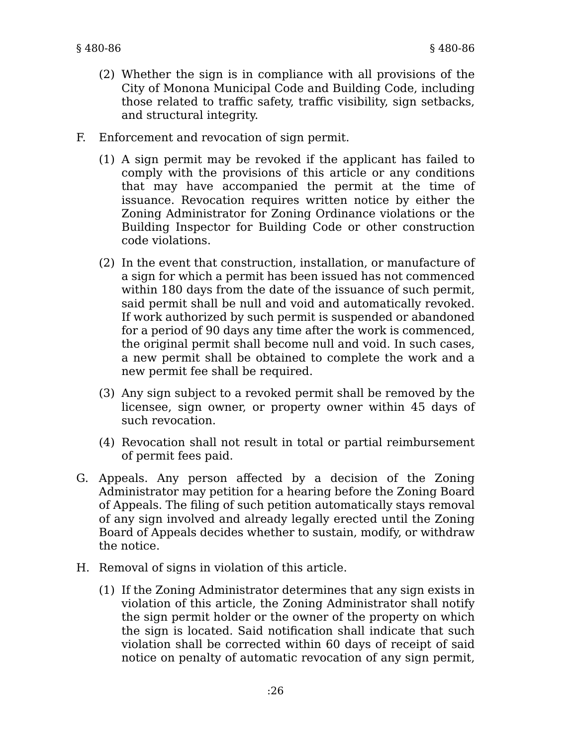- (2) Whether the sign is in compliance with all provisions of the City of Monona Municipal Code and Building Code, including those related to traffic safety, traffic visibility, sign setbacks, and structural integrity.
- F. Enforcement and revocation of sign permit.
	- (1) A sign permit may be revoked if the applicant has failed to comply with the provisions of this article or any conditions that may have accompanied the permit at the time of issuance. Revocation requires written notice by either the Zoning Administrator for Zoning Ordinance violations or the Building Inspector for Building Code or other construction code violations.
	- (2) In the event that construction, installation, or manufacture of a sign for which a permit has been issued has not commenced within 180 days from the date of the issuance of such permit, said permit shall be null and void and automatically revoked. If work authorized by such permit is suspended or abandoned for a period of 90 days any time after the work is commenced, the original permit shall become null and void. In such cases, a new permit shall be obtained to complete the work and a new permit fee shall be required.
	- (3) Any sign subject to a revoked permit shall be removed by the licensee, sign owner, or property owner within 45 days of such revocation.
	- (4) Revocation shall not result in total or partial reimbursement of permit fees paid.
- G. Appeals. Any person affected by a decision of the Zoning Administrator may petition for a hearing before the Zoning Board of Appeals. The filing of such petition automatically stays removal of any sign involved and already legally erected until the Zoning Board of Appeals decides whether to sustain, modify, or withdraw the notice.
- H. Removal of signs in violation of this article.
	- (1) If the Zoning Administrator determines that any sign exists in violation of this article, the Zoning Administrator shall notify the sign permit holder or the owner of the property on which the sign is located. Said notification shall indicate that such violation shall be corrected within 60 days of receipt of said notice on penalty of automatic revocation of any sign permit,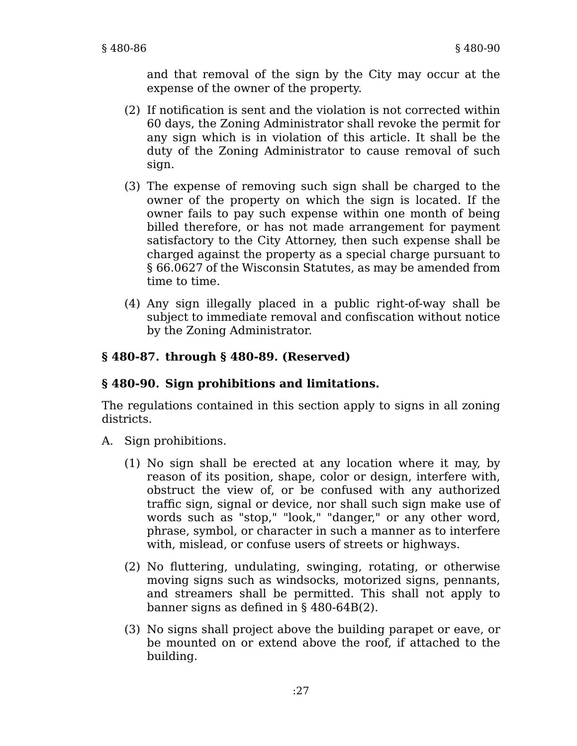and that removal of the sign by the City may occur at the expense of the owner of the property.

- (2) If notification is sent and the violation is not corrected within 60 days, the Zoning Administrator shall revoke the permit for any sign which is in violation of this article. It shall be the duty of the Zoning Administrator to cause removal of such sign.
- (3) The expense of removing such sign shall be charged to the owner of the property on which the sign is located. If the owner fails to pay such expense within one month of being billed therefore, or has not made arrangement for payment satisfactory to the City Attorney, then such expense shall be charged against the property as a special charge pursuant to § 66.0627 of the Wisconsin Statutes, as may be amended from time to time.
- (4) Any sign illegally placed in a public right-of-way shall be subject to immediate removal and confiscation without notice by the Zoning Administrator.

# **§ 480-87. through § 480-89. (Reserved)**

### **§ 480-90. Sign prohibitions and limitations.**

The regulations contained in this section apply to signs in all zoning districts.

- A. Sign prohibitions.
	- (1) No sign shall be erected at any location where it may, by reason of its position, shape, color or design, interfere with, obstruct the view of, or be confused with any authorized traffic sign, signal or device, nor shall such sign make use of words such as "stop," "look," "danger," or any other word, phrase, symbol, or character in such a manner as to interfere with, mislead, or confuse users of streets or highways.
	- (2) No fluttering, undulating, swinging, rotating, or otherwise moving signs such as windsocks, motorized signs, pennants, and streamers shall be permitted. This shall not apply to banner signs as defined in § 480-64B(2).
	- (3) No signs shall project above the building parapet or eave, or be mounted on or extend above the roof, if attached to the building.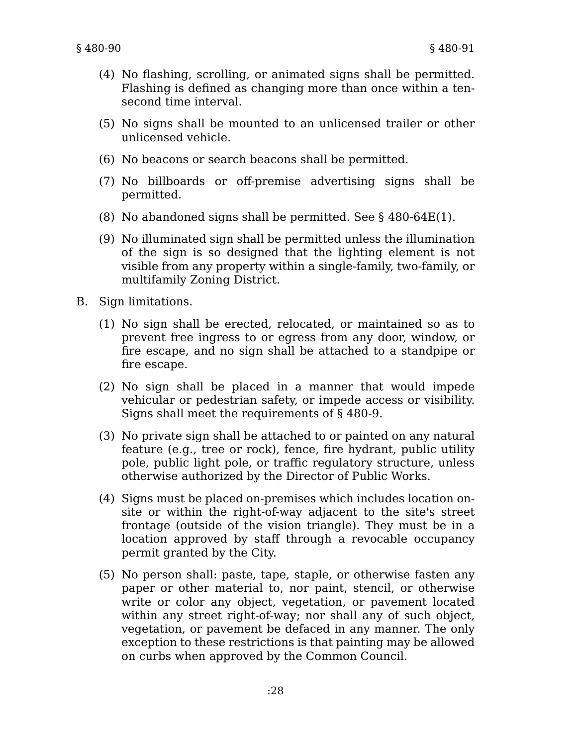- (4) No flashing, scrolling, or animated signs shall be permitted. Flashing is defined as changing more than once within a tensecond time interval.
- (5) No signs shall be mounted to an unlicensed trailer or other unlicensed vehicle.
- (6) No beacons or search beacons shall be permitted.
- (7) No billboards or off-premise advertising signs shall be permitted.
- (8) No abandoned signs shall be permitted. See § 480-64E(1).
- (9) No illuminated sign shall be permitted unless the illumination of the sign is so designed that the lighting element is not visible from any property within a single-family, two-family, or multifamily Zoning District.
- B. Sign limitations.
	- (1) No sign shall be erected, relocated, or maintained so as to prevent free ingress to or egress from any door, window, or fire escape, and no sign shall be attached to a standpipe or fire escape.
	- (2) No sign shall be placed in a manner that would impede vehicular or pedestrian safety, or impede access or visibility. Signs shall meet the requirements of § 480-9.
	- (3) No private sign shall be attached to or painted on any natural feature (e.g., tree or rock), fence, fire hydrant, public utility pole, public light pole, or traffic regulatory structure, unless otherwise authorized by the Director of Public Works.
	- (4) Signs must be placed on-premises which includes location onsite or within the right-of-way adjacent to the site's street frontage (outside of the vision triangle). They must be in a location approved by staff through a revocable occupancy permit granted by the City.
	- (5) No person shall: paste, tape, staple, or otherwise fasten any paper or other material to, nor paint, stencil, or otherwise write or color any object, vegetation, or pavement located within any street right-of-way; nor shall any of such object, vegetation, or pavement be defaced in any manner. The only exception to these restrictions is that painting may be allowed on curbs when approved by the Common Council.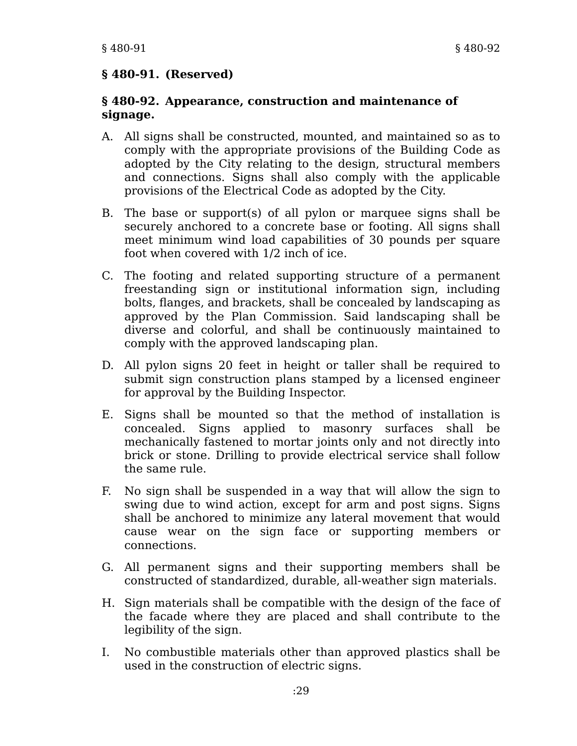#### **§ 480-91. (Reserved)**

#### **§ 480-92. Appearance, construction and maintenance of signage.**

- A. All signs shall be constructed, mounted, and maintained so as to comply with the appropriate provisions of the Building Code as adopted by the City relating to the design, structural members and connections. Signs shall also comply with the applicable provisions of the Electrical Code as adopted by the City.
- B. The base or support(s) of all pylon or marquee signs shall be securely anchored to a concrete base or footing. All signs shall meet minimum wind load capabilities of 30 pounds per square foot when covered with 1/2 inch of ice.
- C. The footing and related supporting structure of a permanent freestanding sign or institutional information sign, including bolts, flanges, and brackets, shall be concealed by landscaping as approved by the Plan Commission. Said landscaping shall be diverse and colorful, and shall be continuously maintained to comply with the approved landscaping plan.
- D. All pylon signs 20 feet in height or taller shall be required to submit sign construction plans stamped by a licensed engineer for approval by the Building Inspector.
- E. Signs shall be mounted so that the method of installation is concealed. Signs applied to masonry surfaces shall be mechanically fastened to mortar joints only and not directly into brick or stone. Drilling to provide electrical service shall follow the same rule.
- F. No sign shall be suspended in a way that will allow the sign to swing due to wind action, except for arm and post signs. Signs shall be anchored to minimize any lateral movement that would cause wear on the sign face or supporting members or connections.
- G. All permanent signs and their supporting members shall be constructed of standardized, durable, all-weather sign materials.
- H. Sign materials shall be compatible with the design of the face of the facade where they are placed and shall contribute to the legibility of the sign.
- I. No combustible materials other than approved plastics shall be used in the construction of electric signs.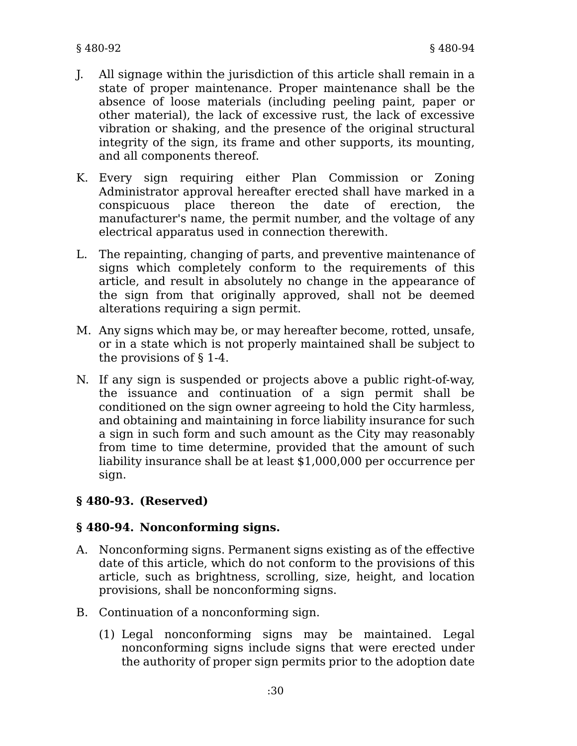- J. All signage within the jurisdiction of this article shall remain in a state of proper maintenance. Proper maintenance shall be the absence of loose materials (including peeling paint, paper or other material), the lack of excessive rust, the lack of excessive vibration or shaking, and the presence of the original structural integrity of the sign, its frame and other supports, its mounting, and all components thereof.
- K. Every sign requiring either Plan Commission or Zoning Administrator approval hereafter erected shall have marked in a conspicuous place thereon the date of erection, the manufacturer's name, the permit number, and the voltage of any electrical apparatus used in connection therewith.
- L. The repainting, changing of parts, and preventive maintenance of signs which completely conform to the requirements of this article, and result in absolutely no change in the appearance of the sign from that originally approved, shall not be deemed alterations requiring a sign permit.
- M. Any signs which may be, or may hereafter become, rotted, unsafe, or in a state which is not properly maintained shall be subject to the provisions of § 1-4.
- N. If any sign is suspended or projects above a public right-of-way, the issuance and continuation of a sign permit shall be conditioned on the sign owner agreeing to hold the City harmless, and obtaining and maintaining in force liability insurance for such a sign in such form and such amount as the City may reasonably from time to time determine, provided that the amount of such liability insurance shall be at least \$1,000,000 per occurrence per sign.

# **§ 480-93. (Reserved)**

# **§ 480-94. Nonconforming signs.**

- A. Nonconforming signs. Permanent signs existing as of the effective date of this article, which do not conform to the provisions of this article, such as brightness, scrolling, size, height, and location provisions, shall be nonconforming signs.
- B. Continuation of a nonconforming sign.
	- (1) Legal nonconforming signs may be maintained. Legal nonconforming signs include signs that were erected under the authority of proper sign permits prior to the adoption date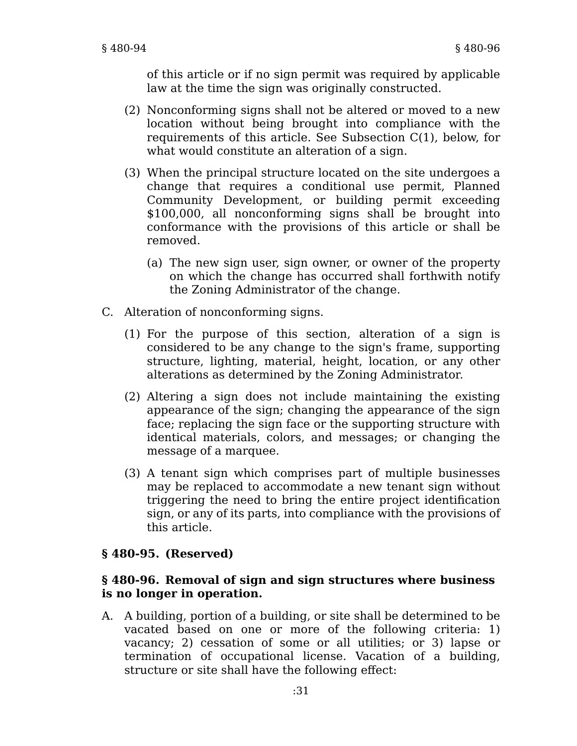of this article or if no sign permit was required by applicable law at the time the sign was originally constructed.

- (2) Nonconforming signs shall not be altered or moved to a new location without being brought into compliance with the requirements of this article. See Subsection C(1), below, for what would constitute an alteration of a sign.
- (3) When the principal structure located on the site undergoes a change that requires a conditional use permit, Planned Community Development, or building permit exceeding \$100,000, all nonconforming signs shall be brought into conformance with the provisions of this article or shall be removed.
	- (a) The new sign user, sign owner, or owner of the property on which the change has occurred shall forthwith notify the Zoning Administrator of the change.
- C. Alteration of nonconforming signs.
	- (1) For the purpose of this section, alteration of a sign is considered to be any change to the sign's frame, supporting structure, lighting, material, height, location, or any other alterations as determined by the Zoning Administrator.
	- (2) Altering a sign does not include maintaining the existing appearance of the sign; changing the appearance of the sign face; replacing the sign face or the supporting structure with identical materials, colors, and messages; or changing the message of a marquee.
	- (3) A tenant sign which comprises part of multiple businesses may be replaced to accommodate a new tenant sign without triggering the need to bring the entire project identification sign, or any of its parts, into compliance with the provisions of this article.

#### **§ 480-95. (Reserved)**

#### **§ 480-96. Removal of sign and sign structures where business is no longer in operation.**

A. A building, portion of a building, or site shall be determined to be vacated based on one or more of the following criteria: 1) vacancy; 2) cessation of some or all utilities; or 3) lapse or termination of occupational license. Vacation of a building, structure or site shall have the following effect: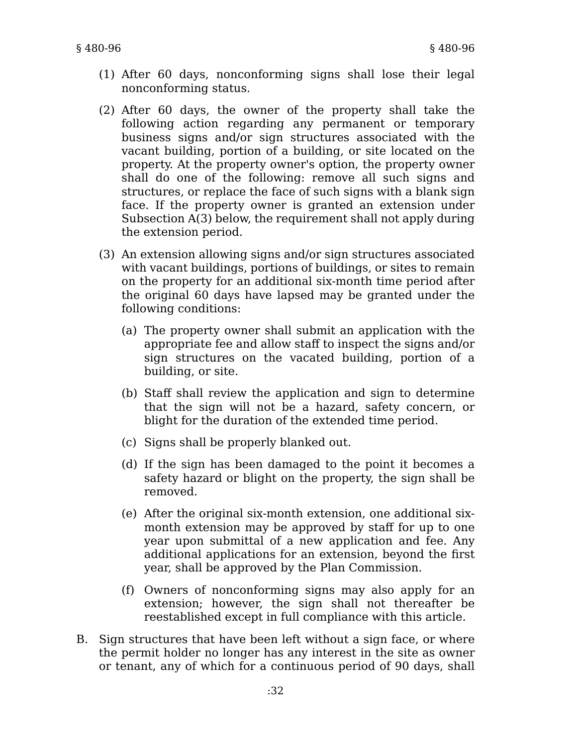- (1) After 60 days, nonconforming signs shall lose their legal nonconforming status.
- (2) After 60 days, the owner of the property shall take the following action regarding any permanent or temporary business signs and/or sign structures associated with the vacant building, portion of a building, or site located on the property. At the property owner's option, the property owner shall do one of the following: remove all such signs and structures, or replace the face of such signs with a blank sign face. If the property owner is granted an extension under Subsection A(3) below, the requirement shall not apply during the extension period.
- (3) An extension allowing signs and/or sign structures associated with vacant buildings, portions of buildings, or sites to remain on the property for an additional six-month time period after the original 60 days have lapsed may be granted under the following conditions:
	- (a) The property owner shall submit an application with the appropriate fee and allow staff to inspect the signs and/or sign structures on the vacated building, portion of a building, or site.
	- (b) Staff shall review the application and sign to determine that the sign will not be a hazard, safety concern, or blight for the duration of the extended time period.
	- (c) Signs shall be properly blanked out.
	- (d) If the sign has been damaged to the point it becomes a safety hazard or blight on the property, the sign shall be removed.
	- (e) After the original six-month extension, one additional sixmonth extension may be approved by staff for up to one year upon submittal of a new application and fee. Any additional applications for an extension, beyond the first year, shall be approved by the Plan Commission.
	- (f) Owners of nonconforming signs may also apply for an extension; however, the sign shall not thereafter be reestablished except in full compliance with this article.
- B. Sign structures that have been left without a sign face, or where the permit holder no longer has any interest in the site as owner or tenant, any of which for a continuous period of 90 days, shall